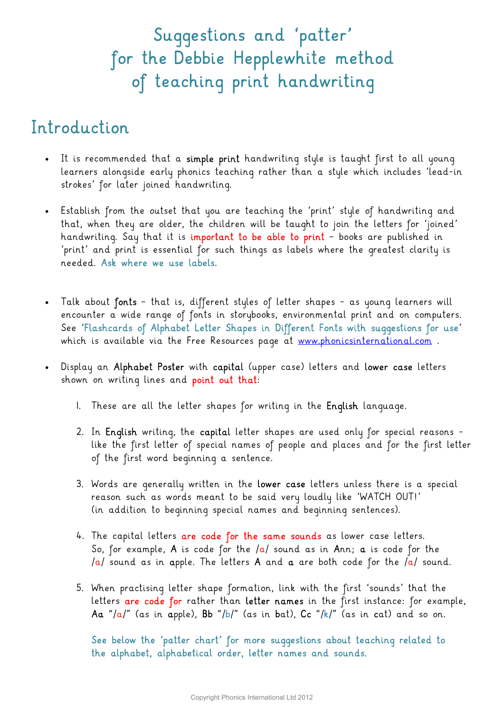## Suggestions and 'patter' for the Debbie Hepplewhite method of teaching print handwriting

### Introduction

- It is recommended that a simple print handwriting style is taught first to all young learners alongside early phonics teaching rather than a style which includes 'lead-in strokes' for later joined handwriting.
- Establish from the outset that you are teaching the 'print' style of handwriting and that, when they are older, the children will be taught to join the letters for 'joined' handwriting. Say that it is important to be able to print – books are published in 'print' and print is essential for such things as labels where the greatest clarity is needed. Ask where we use labels.
- Talk about fonts that is, different styles of letter shapes as young learners will encounter a wide range of fonts in storybooks, environmental print and on computers. See 'Flashcards of Alphabet Letter Shapes in Different Fonts with suggestions for use' which is available via the Free Resources page at www.phonicsinternational.com.
- Display an Alphabet Poster with capital (upper case) letters and lower case letters shown on writing lines and point out that:
	- 1. These are all the letter shapes for writing in the English language.
	- 2. In English writing, the capital letter shapes are used only for special reasons like the first letter of special names of people and places and for the first letter of the first word beginning a sentence.
	- 3. Words are generally written in the lower case letters unless there is a special reason such as words meant to be said very loudly like 'WATCH OUT!' (in addition to beginning special names and beginning sentences).
	- 4. The capital letters are code for the same sounds as lower case letters. So, for example, A is code for the  $/a/$  sound as in Ann; a is code for the /a/ sound as in apple. The letters A and a are both code for the /a/ sound.
	- 5. When practising letter shape formation, link with the first 'sounds' that the letters are code for rather than letter names in the first instance: for example, Aa "/a/" (as in apple), Bb "/b/" (as in bat), Cc "/k/" (as in cat) and so on.

See below the 'patter chart' for more suggestions about teaching related to the alphabet, alphabetical order, letter names and sounds.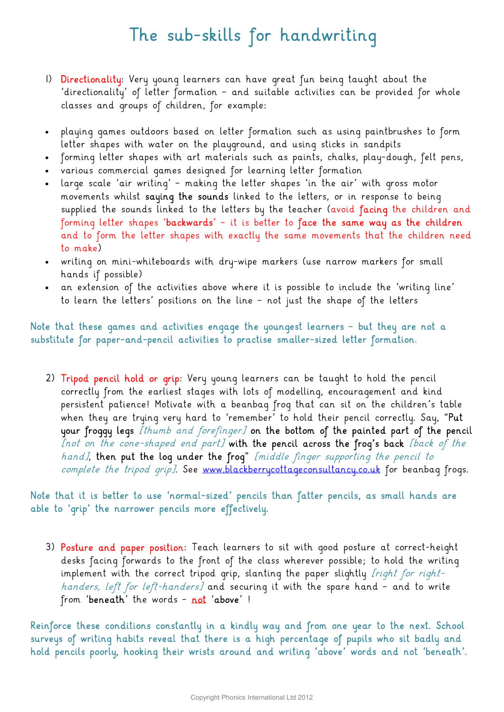### The sub-skills for handwriting

- 1) Directionality: Very young learners can have great fun being taught about the 'directionality' of letter formation – and suitable activities can be provided for whole classes and groups of children, for example:
- playing games outdoors based on letter formation such as using paintbrushes to form letter shapes with water on the playground, and using sticks in sandpits
- forming letter shapes with art materials such as paints, chalks, play-dough, felt pens,
- various commercial games designed for learning letter formation
- large scale 'air writing' making the letter shapes 'in the air' with gross motor movements whilst saying the sounds linked to the letters, or in response to being supplied the sounds linked to the letters by the teacher (avoid facing the children and forming letter shapes 'backwards' – it is better to face the same way as the children and to form the letter shapes with exactly the same movements that the children need to make)
- writing on mini-whiteboards with dry-wipe markers (use narrow markers for small hands if possible)
- an extension of the activities above where it is possible to include the 'writing line' to learn the letters' positions on the line – not just the shape of the letters

#### Note that these games and activities engage the youngest learners – but they are not a substitute for paper-and-pencil activities to practise smaller-sized letter formation.

2) Tripod pencil hold or grip: Very young learners can be taught to hold the pencil correctly from the earliest stages with lots of modelling, encouragement and kind persistent patience! Motivate with a beanbag frog that can sit on the children's table when they are trying very hard to 'remember' to hold their pencil correctly. Say, "Put your froggy legs *[thumb and forefinger]* on the bottom of the painted part of the pencil [not on the cone-shaped end part] with the pencil across the frog's back [back of the hand], then put the loq under the froq" [middle finger supporting the pencil to complete the tripod grip]. See www.blackberrycottageconsultancy.co.uk for beanbag frogs.

#### Note that it is better to use 'normal-sized' pencils than fatter pencils, as small hands are able to 'grip' the narrower pencils more effectively.

3) Posture and paper position: Teach learners to sit with good posture at correct-height desks facing forwards to the front of the class wherever possible; to hold the writing implement with the correct tripod grip, slanting the paper slightly *[right for right*handers, left for left-handers] and securing it with the spare hand - and to write from 'beneath' the words - not 'above' !

Reinforce these conditions constantly in a kindly way and from one year to the next. School surveys of writing habits reveal that there is a high percentage of pupils who sit badly and hold pencils poorly, hooking their wrists around and writing 'above' words and not 'beneath'.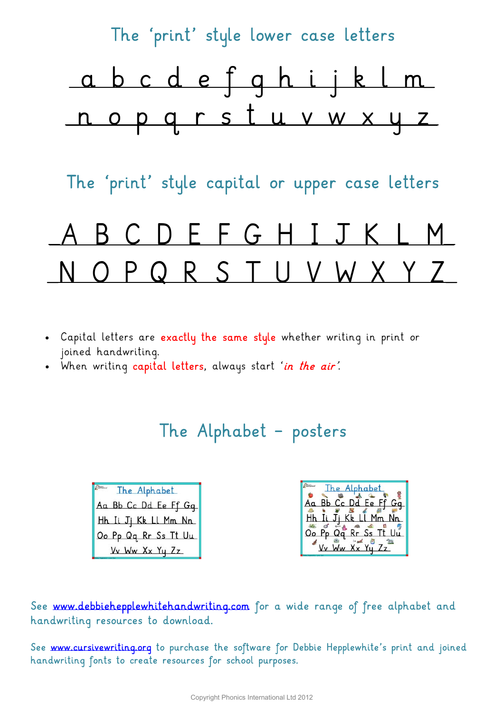

- Capital letters are exactly the same style whether writing in print or joined handwriting.
- . When writing capital letters, always start 'in the air'.

### The Alphabet – posters

| <b>Class</b><br>The Alphabet |
|------------------------------|
| Aa Bb Cc Dd Ee Ff Gq         |
| Hh Ii Jj Kk Ll Mm Nn         |
| Oo Pp Qq Rr Ss Tt Uu         |
| Vv Ww Xx Yy Zz               |

| The Alphabet         |
|----------------------|
| Aa Bb Cc Dd Ee Ff Gq |
|                      |
| Hh Ii Jj Kk Ll Mm Nn |
| Oo Pp Qq Rr Ss Tt Uu |
| Vy Ww Xx Yu Zz       |

See www.debbiehepplewhitehandwriting.com for a wide range of free alphabet and handwriting resources to download.

See www.cursivewriting.org to purchase the software for Debbie Hepplewhite's print and joined handwriting fonts to create resources for school purposes.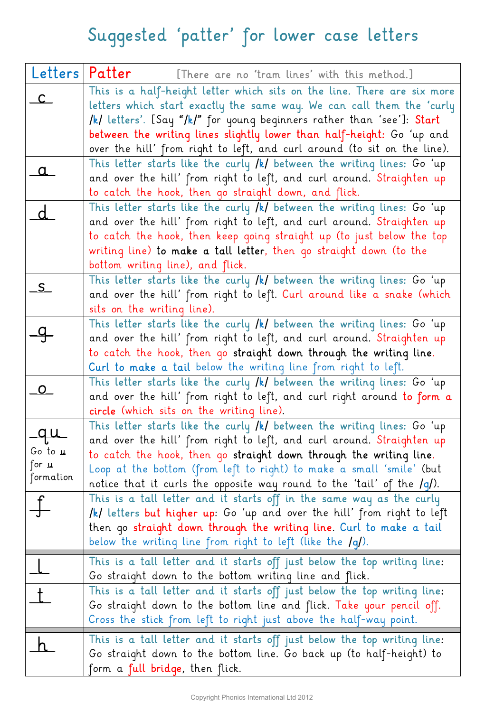# Suggested 'patter' for lower case letters

| Letters              | Patter<br>[There are no 'tram lines' with this method.]                                                                                           |
|----------------------|---------------------------------------------------------------------------------------------------------------------------------------------------|
| $\mathsf{C}$         | This is a half-height letter which sits on the line. There are six more                                                                           |
|                      | letters which start exactly the same way. We can call them the 'curly                                                                             |
|                      | /k/ letters'. [Say "/k/" for young beginners rather than 'see']: Start                                                                            |
|                      | between the writing lines slightly lower than half-height: Go 'up and<br>over the hill' from right to left, and curl around (to sit on the line). |
|                      | This letter starts like the curly /k/ between the writing lines: Go 'up                                                                           |
| <u>a</u>             | and over the hill' from right to left, and curl around. Straighten up                                                                             |
|                      | to catch the hook, then go straight down, and flick.                                                                                              |
| $\overline{d}$       | This letter starts like the curly /k/ between the writing lines: Go 'up                                                                           |
|                      | and over the hill' from right to left, and curl around. Straighten up                                                                             |
|                      | to catch the hook, then keep qoinq straight up (to just below the top                                                                             |
|                      | writing line) to make a tall letter, then go straight down (to the                                                                                |
|                      | bottom writing line), and flick.                                                                                                                  |
| S                    | This letter starts like the curly /k/ between the writing lines: Go 'up<br>and over the hill' from right to left. Curl around like a snake (which |
|                      | sits on the writing line).                                                                                                                        |
|                      | This letter starts like the curly /k/ between the writing lines: Go 'up                                                                           |
| $\frac{1}{\sqrt{2}}$ | and over the hill' from right to left, and curl around. Straighten up                                                                             |
|                      | to catch the hook, then go straight down through the writing line.                                                                                |
|                      | Curl to make a tail below the writing line from right to left.                                                                                    |
| $\Omega$             | This letter starts like the curly $/k/$ between the writing lines: Go 'up                                                                         |
|                      | and over the hill' from right to left, and curl right around to form a                                                                            |
|                      | circle (which sits on the writing line).                                                                                                          |
|                      | This letter starts like the curly $/k/$ between the writing lines: Go 'up                                                                         |
| Go to u              | and over the hill' from right to left, and curl around. Straighten up<br>to catch the hook, then go straight down through the writing line.       |
| for $\mathbf u$      | Loop at the bottom (from left to right) to make a small 'smile' (but                                                                              |
| formation            | notice that it curls the opposite way round to the 'tail' of the /g/).                                                                            |
|                      | This is a tall letter and it starts off in the same way as the curly                                                                              |
|                      | /k/ letters but higher up: Go 'up and over the hill' from right to left                                                                           |
|                      | then go straight down through the writing line. Curl to make a tail                                                                               |
|                      | below the writing line from right to left (like the $/q$ ).                                                                                       |
|                      | This is a tall letter and it starts off just below the top writing line:                                                                          |
|                      | Go straight down to the bottom writing line and flick.                                                                                            |
| t                    | This is a tall letter and it starts off just below the top writing line:                                                                          |
|                      | Go straight down to the bottom line and flick. Take your pencil off.                                                                              |
|                      | Cross the stick from left to right just above the half-way point.                                                                                 |
|                      | This is a tall letter and it starts off just below the top writing line:                                                                          |
|                      | Go straight down to the bottom line. Go back up (to half-height) to                                                                               |
|                      | form a <b>full bridge</b> , then flick.                                                                                                           |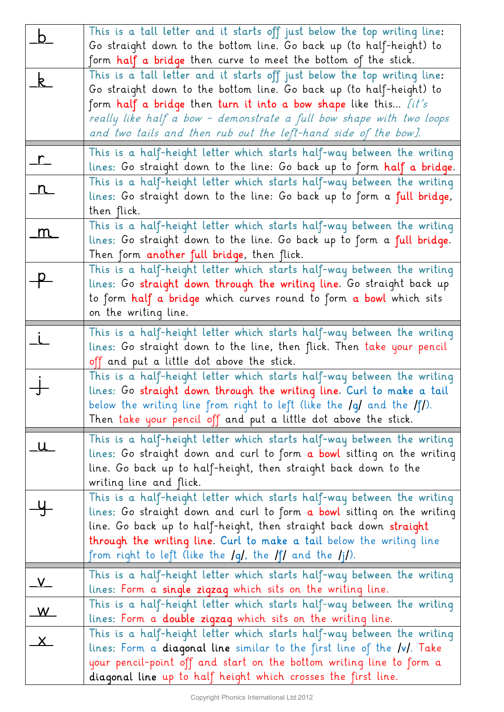| <u>_b</u>                        | This is a tall letter and it starts off just below the top writing line:<br>Go straight down to the bottom line. Go back up (to half-height) to                                                                                                                                                                                                                                                                                               |
|----------------------------------|-----------------------------------------------------------------------------------------------------------------------------------------------------------------------------------------------------------------------------------------------------------------------------------------------------------------------------------------------------------------------------------------------------------------------------------------------|
| $\mathsf{k}$                     | form <b>half a bridge</b> then curve to meet the bottom of the stick.<br>This is a tall letter and it starts off just below the top writing line:<br>Go straight down to the bottom line. Go back up (to half-height) to<br>form half a bridge then turn it into a bow shape like this <i>lit's</i><br>really like half a bow - demonstrate a full bow shape with two loops<br>and two tails and then rub out the left-hand side of the bow]. |
| $\frac{1}{\sqrt{1-\frac{1}{2}}}$ | This is a half-height letter which starts half-way between the writing<br>lines: Go straight down to the line: Go back up to form half a bridge.                                                                                                                                                                                                                                                                                              |
| n                                | This is a half-height letter which starts half-way between the writing<br>lines: Go straight down to the line: Go back up to form a full bridge,<br>then flick.                                                                                                                                                                                                                                                                               |
| m                                | This is a half-height letter which starts half-way between the writing<br>lines: Go straight down to the line. Go back up to form a full bridge.<br>Then form another full bridge, then flick.                                                                                                                                                                                                                                                |
| $\frac{p}{\sqrt{p}}$             | This is a half-height letter which starts half-way between the writing<br>lines: Go straight down through the writing line. Go straight back up<br>to form half a bridge which curves round to form a bowl which sits<br>on the writing line.                                                                                                                                                                                                 |
| $\dot{L}$                        | This is a half-height letter which starts half-way between the writing<br>lines: Go straight down to the line, then flick. Then take your pencil<br>off and put a little dot above the stick.                                                                                                                                                                                                                                                 |
|                                  | This is a half-height letter which starts half-way between the writing<br>lines: Go straight down through the writing line. Curl to make a tail<br>below the writing line from right to left (like the $\lg$ and the $\lg$ ).<br>Then take your pencil off and put a little dot above the stick.                                                                                                                                              |
|                                  | This is a half-height letter which starts half-way between the writing<br>lines: Go straight down and curl to form a bowl sitting on the writing<br>line. Go back up to half-height, then straight back down to the<br>writing line and flick.                                                                                                                                                                                                |
|                                  | This is a half-height letter which starts half-way between the writing<br>lines: Go straight down and curl to form a bowl sitting on the writing<br>line. Go back up to half-height, then straight back down straight<br><b>through the writing line. Curl to make a tail</b> below the writing line<br>from right to left (like the $\lg\ell$ , the $\lg\ell$ and the $\lg\ell$ ).                                                           |
| $\sqrt{ }$                       | This is a half-height letter which starts half-way between the writing<br>lines: Form a single zigzag which sits on the writing line.                                                                                                                                                                                                                                                                                                         |
| W                                | This is a half-height letter which starts half-way between the writing<br>lines: Form a <b>double zigzag</b> which sits on the writing line.                                                                                                                                                                                                                                                                                                  |
| $\mathbf{x}$                     | This is a half-height letter which starts half-way between the writing<br>lines: Form a <b>diagonal line</b> similar to the first line of the <b>/v/</b> . Take<br>your pencil-point off and start on the bottom writing line to form a<br>diagonal line up to half height which crosses the first line.                                                                                                                                      |